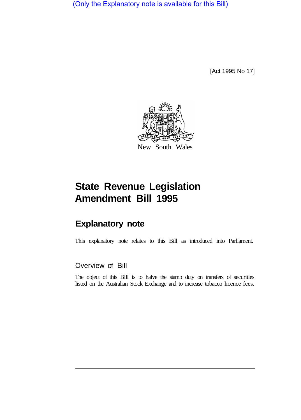(Only the Explanatory note is available for this Bill)

[Act 1995 No 17]



## **State Revenue Legislation Amendment Bill 1995**

## **Explanatory note**

This explanatory note relates to this Bill as introduced into Parliament.

## Overview of Bill

The object of this Bill is to halve the stamp duty on transfers of securities listed on the Australian Stock Exchange and to increase tobacco licence fees.